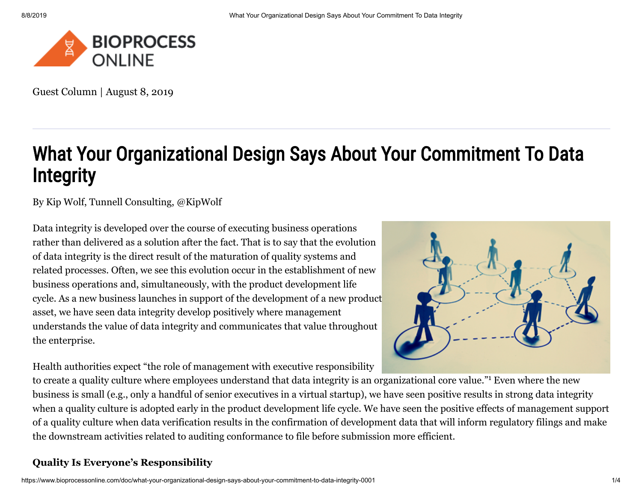

Guest Column | August 8, 2019

# What Your Organizational Design Says About Your Commitment To Data **Integrity**

By [Kip Wolf](https://www.bioprocessonline.com/author/kip-wolf), Tunnell Consulting, [@KipWolf](https://twitter.com/kipwolf)

Data integrity is developed over the course of executing business operations rather than delivered as a solution after the fact. That is to say that the evolution of data integrity is the direct result of the maturation of quality systems and related processes. Often, we see this evolution occur in the establishment of new business operations and, simultaneously, with the product development life cycle. As a new business launches in support of the development of a new product asset, we have seen data integrity develop positively where management understands the value of data integrity and communicates that value throughout the enterprise.

Health authorities expect "the role of management with executive responsibility



to create a quality culture where employees understand that data integrity is an organizational core value."<sup>1</sup> Even where the new business is small (e.g., only a handful of senior executives in a virtual startup), we have seen positive results in strong data integrity when a quality culture is adopted early in the product development life cycle. We have seen the positive effects of management support of a quality culture when data verification results in the confirmation of development data that will inform regulatory filings and make the downstream activities related to auditing conformance to file before submission more efficient.

# **Quality Is Everyone's Responsibility**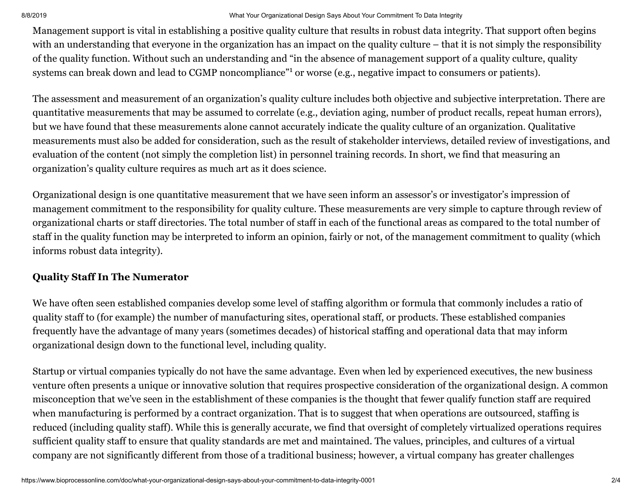#### 8/8/2019 What Your Organizational Design Says About Your Commitment To Data Integrity

Management support is vital in establishing a positive quality culture that results in robust data integrity. That support often begins with an understanding that everyone in the organization has an impact on the quality culture – that it is not simply the responsibility of the quality function. Without such an understanding and "in the absence of management support of a quality culture, quality systems can break down and lead to CGMP noncompliance"<sup>1</sup> or worse (e.g., negative impact to consumers or patients).

The assessment and measurement of an organization's quality culture includes both objective and subjective interpretation. There are quantitative measurements that may be assumed to correlate (e.g., deviation aging, number of product recalls, repeat human errors), but we have found that these measurements alone cannot accurately indicate the quality culture of an organization. Qualitative measurements must also be added for consideration, such as the result of stakeholder interviews, detailed review of investigations, and evaluation of the content (not simply the completion list) in personnel training records. In short, we find that measuring an organization's quality culture requires as much art as it does science.

Organizational design is one quantitative measurement that we have seen inform an assessor's or investigator's impression of management commitment to the responsibility for quality culture. These measurements are very simple to capture through review of organizational charts or staff directories. The total number of staff in each of the functional areas as compared to the total number of staff in the quality function may be interpreted to inform an opinion, fairly or not, of the management commitment to quality (which informs robust data integrity).

#### **Quality Staff In The Numerator**

We have often seen established companies develop some level of staffing algorithm or formula that commonly includes a ratio of quality staff to (for example) the number of manufacturing sites, operational staff, or products. These established companies frequently have the advantage of many years (sometimes decades) of historical staffing and operational data that may inform organizational design down to the functional level, including quality.

Startup or virtual companies typically do not have the same advantage. Even when led by experienced executives, the new business venture often presents a unique or innovative solution that requires prospective consideration of the organizational design. A common misconception that we've seen in the establishment of these companies is the thought that fewer qualify function staff are required when manufacturing is performed by a contract organization. That is to suggest that when operations are outsourced, staffing is reduced (including quality staff). While this is generally accurate, we find that oversight of completely virtualized operations requires sufficient quality staff to ensure that quality standards are met and maintained. The values, principles, and cultures of a virtual company are not significantly different from those of a traditional business; however, a virtual company has greater challenges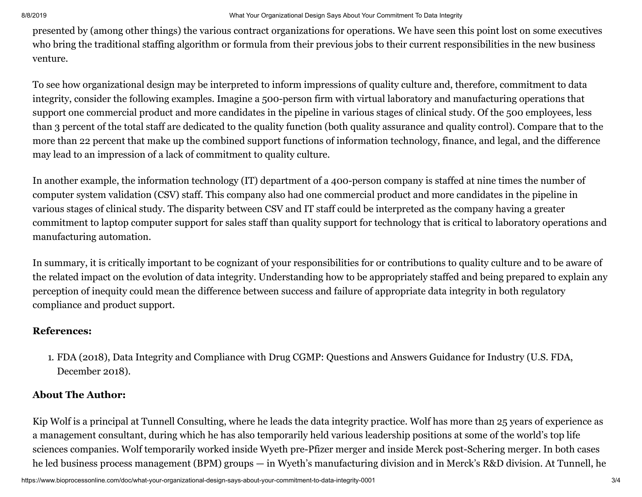presented by (among other things) the various contract organizations for operations. We have seen this point lost on some executives who bring the traditional staffing algorithm or formula from their previous jobs to their current responsibilities in the new business venture.

To see how organizational design may be interpreted to inform impressions of quality culture and, therefore, commitment to data integrity, consider the following examples. Imagine a 500-person firm with virtual laboratory and manufacturing operations that support one commercial product and more candidates in the pipeline in various stages of clinical study. Of the 500 employees, less than 3 percent of the total staff are dedicated to the quality function (both quality assurance and quality control). Compare that to the more than 22 percent that make up the combined support functions of information technology, finance, and legal, and the difference may lead to an impression of a lack of commitment to quality culture.

In another example, the information technology (IT) department of a 400-person company is staffed at nine times the number of computer system validation (CSV) staff. This company also had one commercial product and more candidates in the pipeline in various stages of clinical study. The disparity between CSV and IT staff could be interpreted as the company having a greater commitment to laptop computer support for sales staff than quality support for technology that is critical to laboratory operations and manufacturing automation.

In summary, it is critically important to be cognizant of your responsibilities for or contributions to quality culture and to be aware of the related impact on the evolution of data integrity. Understanding how to be appropriately staffed and being prepared to explain any perception of inequity could mean the difference between success and failure of appropriate data integrity in both regulatory compliance and product support.

### **References:**

1. FDA (2018), Data Integrity and Compliance with Drug CGMP: Questions and Answers Guidance for Industry (U.S. FDA, December 2018).

# **About The Author:**

Kip Wolf is a principal at Tunnell Consulting, where he leads the data integrity practice. Wolf has more than 25 years of experience as a management consultant, during which he has also temporarily held various leadership positions at some of the world's top life sciences companies. Wolf temporarily worked inside Wyeth pre-Pfizer merger and inside Merck post-Schering merger. In both cases he led business process management (BPM) groups — in Wyeth's manufacturing division and in Merck's R&D division. At Tunnell, he